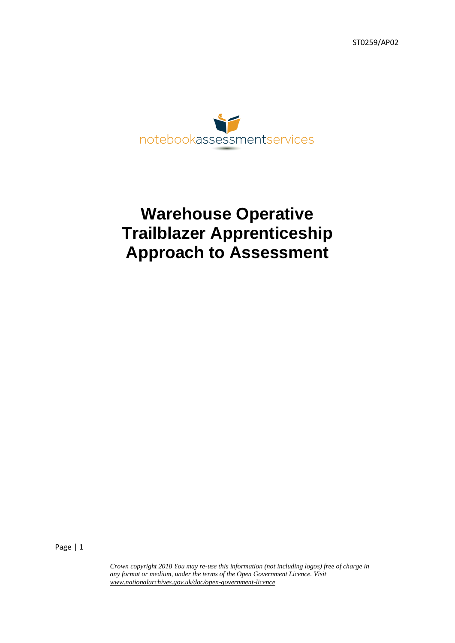ST0259/AP02



# **Warehouse Operative Trailblazer Apprenticeship Approach to Assessment**

Page | 1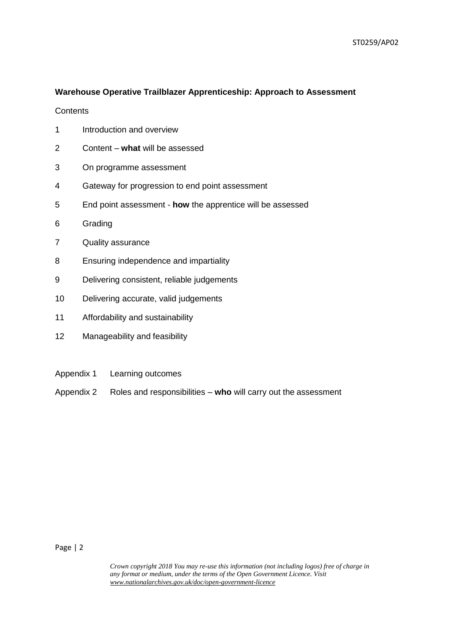## **Warehouse Operative Trailblazer Apprenticeship: Approach to Assessment**

**Contents** 

- 1 Introduction and overview
- 2 Content **what** will be assessed
- 3 On programme assessment
- 4 Gateway for progression to end point assessment
- 5 End point assessment **how** the apprentice will be assessed
- 6 Grading
- 7 Quality assurance
- 8 Ensuring independence and impartiality
- 9 Delivering consistent, reliable judgements
- 10 Delivering accurate, valid judgements
- 11 Affordability and sustainability
- 12 Manageability and feasibility
- Appendix 1 Learning outcomes
- Appendix 2 Roles and responsibilities **who** will carry out the assessment

Page | 2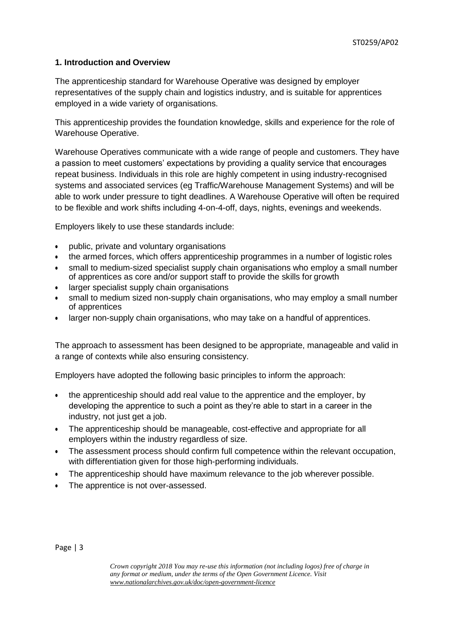## **1. Introduction and Overview**

The apprenticeship standard for Warehouse Operative was designed by employer representatives of the supply chain and logistics industry, and is suitable for apprentices employed in a wide variety of organisations.

This apprenticeship provides the foundation knowledge, skills and experience for the role of Warehouse Operative.

Warehouse Operatives communicate with a wide range of people and customers. They have a passion to meet customers' expectations by providing a quality service that encourages repeat business. Individuals in this role are highly competent in using industry-recognised systems and associated services (eg Traffic/Warehouse Management Systems) and will be able to work under pressure to tight deadlines. A Warehouse Operative will often be required to be flexible and work shifts including 4-on-4-off, days, nights, evenings and weekends.

Employers likely to use these standards include:

- public, private and voluntary organisations
- the armed forces, which offers apprenticeship programmes in a number of logistic roles
- small to medium-sized specialist supply chain organisations who employ a small number of apprentices as core and/or support staff to provide the skills for growth
- larger specialist supply chain organisations
- small to medium sized non-supply chain organisations, who may employ a small number of apprentices
- larger non-supply chain organisations, who may take on a handful of apprentices.

The approach to assessment has been designed to be appropriate, manageable and valid in a range of contexts while also ensuring consistency.

Employers have adopted the following basic principles to inform the approach:

- the apprenticeship should add real value to the apprentice and the employer, by developing the apprentice to such a point as they're able to start in a career in the industry, not just get a job.
- The apprenticeship should be manageable, cost-effective and appropriate for all employers within the industry regardless of size.
- The assessment process should confirm full competence within the relevant occupation, with differentiation given for those high-performing individuals.
- The apprenticeship should have maximum relevance to the job wherever possible.
- The apprentice is not over-assessed.

Page | 3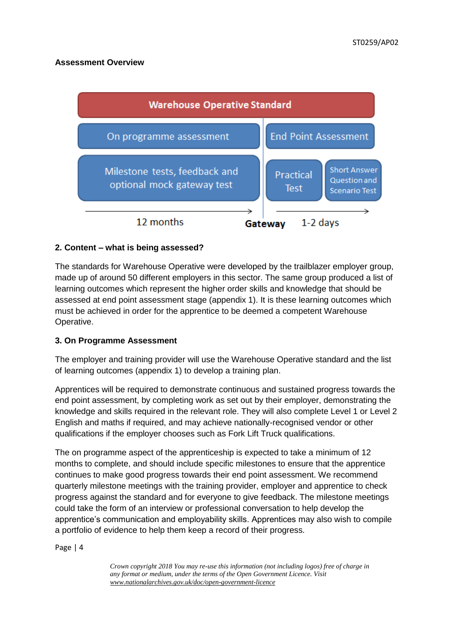# **Assessment Overview**



# **2. Content – what is being assessed?**

The standards for Warehouse Operative were developed by the trailblazer employer group, made up of around 50 different employers in this sector. The same group produced a list of learning outcomes which represent the higher order skills and knowledge that should be assessed at end point assessment stage (appendix 1). It is these learning outcomes which must be achieved in order for the apprentice to be deemed a competent Warehouse Operative.

## **3. On Programme Assessment**

The employer and training provider will use the Warehouse Operative standard and the list of learning outcomes (appendix 1) to develop a training plan.

Apprentices will be required to demonstrate continuous and sustained progress towards the end point assessment, by completing work as set out by their employer, demonstrating the knowledge and skills required in the relevant role. They will also complete Level 1 or Level 2 English and maths if required, and may achieve nationally-recognised vendor or other qualifications if the employer chooses such as Fork Lift Truck qualifications.

The on programme aspect of the apprenticeship is expected to take a minimum of 12 months to complete, and should include specific milestones to ensure that the apprentice continues to make good progress towards their end point assessment. We recommend quarterly milestone meetings with the training provider, employer and apprentice to check progress against the standard and for everyone to give feedback. The milestone meetings could take the form of an interview or professional conversation to help develop the apprentice's communication and employability skills. Apprentices may also wish to compile a portfolio of evidence to help them keep a record of their progress.

Page | 4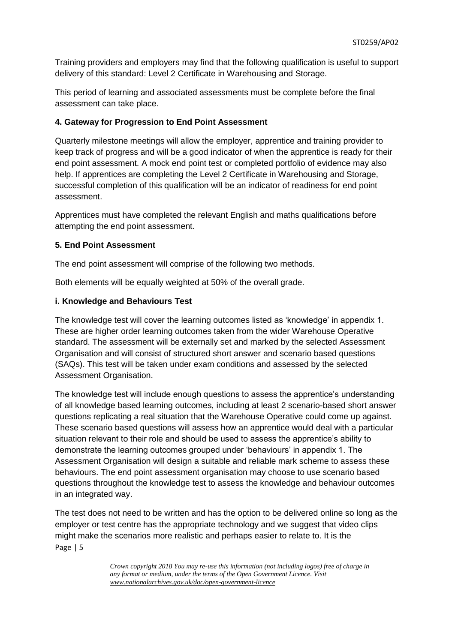Training providers and employers may find that the following qualification is useful to support delivery of this standard: Level 2 Certificate in Warehousing and Storage.

This period of learning and associated assessments must be complete before the final assessment can take place.

# **4. Gateway for Progression to End Point Assessment**

Quarterly milestone meetings will allow the employer, apprentice and training provider to keep track of progress and will be a good indicator of when the apprentice is ready for their end point assessment. A mock end point test or completed portfolio of evidence may also help. If apprentices are completing the Level 2 Certificate in Warehousing and Storage, successful completion of this qualification will be an indicator of readiness for end point assessment.

Apprentices must have completed the relevant English and maths qualifications before attempting the end point assessment.

# **5. End Point Assessment**

The end point assessment will comprise of the following two methods.

Both elements will be equally weighted at 50% of the overall grade.

# **i. Knowledge and Behaviours Test**

The knowledge test will cover the learning outcomes listed as 'knowledge' in appendix 1. These are higher order learning outcomes taken from the wider Warehouse Operative standard. The assessment will be externally set and marked by the selected Assessment Organisation and will consist of structured short answer and scenario based questions (SAQs). This test will be taken under exam conditions and assessed by the selected Assessment Organisation.

The knowledge test will include enough questions to assess the apprentice's understanding of all knowledge based learning outcomes, including at least 2 scenario-based short answer questions replicating a real situation that the Warehouse Operative could come up against. These scenario based questions will assess how an apprentice would deal with a particular situation relevant to their role and should be used to assess the apprentice's ability to demonstrate the learning outcomes grouped under 'behaviours' in appendix 1. The Assessment Organisation will design a suitable and reliable mark scheme to assess these behaviours. The end point assessment organisation may choose to use scenario based questions throughout the knowledge test to assess the knowledge and behaviour outcomes in an integrated way.

Page | 5 The test does not need to be written and has the option to be delivered online so long as the employer or test centre has the appropriate technology and we suggest that video clips might make the scenarios more realistic and perhaps easier to relate to. It is the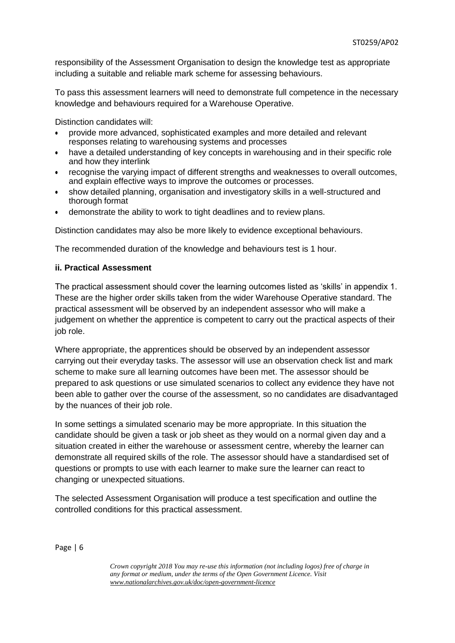responsibility of the Assessment Organisation to design the knowledge test as appropriate including a suitable and reliable mark scheme for assessing behaviours.

To pass this assessment learners will need to demonstrate full competence in the necessary knowledge and behaviours required for a Warehouse Operative.

Distinction candidates will:

- provide more advanced, sophisticated examples and more detailed and relevant responses relating to warehousing systems and processes
- have a detailed understanding of key concepts in warehousing and in their specific role and how they interlink
- recognise the varying impact of different strengths and weaknesses to overall outcomes, and explain effective ways to improve the outcomes or processes.
- show detailed planning, organisation and investigatory skills in a well-structured and thorough format
- demonstrate the ability to work to tight deadlines and to review plans.

Distinction candidates may also be more likely to evidence exceptional behaviours.

The recommended duration of the knowledge and behaviours test is 1 hour.

#### **ii. Practical Assessment**

The practical assessment should cover the learning outcomes listed as 'skills' in appendix 1. These are the higher order skills taken from the wider Warehouse Operative standard. The practical assessment will be observed by an independent assessor who will make a judgement on whether the apprentice is competent to carry out the practical aspects of their job role.

Where appropriate, the apprentices should be observed by an independent assessor carrying out their everyday tasks. The assessor will use an observation check list and mark scheme to make sure all learning outcomes have been met. The assessor should be prepared to ask questions or use simulated scenarios to collect any evidence they have not been able to gather over the course of the assessment, so no candidates are disadvantaged by the nuances of their job role.

In some settings a simulated scenario may be more appropriate. In this situation the candidate should be given a task or job sheet as they would on a normal given day and a situation created in either the warehouse or assessment centre, whereby the learner can demonstrate all required skills of the role. The assessor should have a standardised set of questions or prompts to use with each learner to make sure the learner can react to changing or unexpected situations.

The selected Assessment Organisation will produce a test specification and outline the controlled conditions for this practical assessment.

Page | 6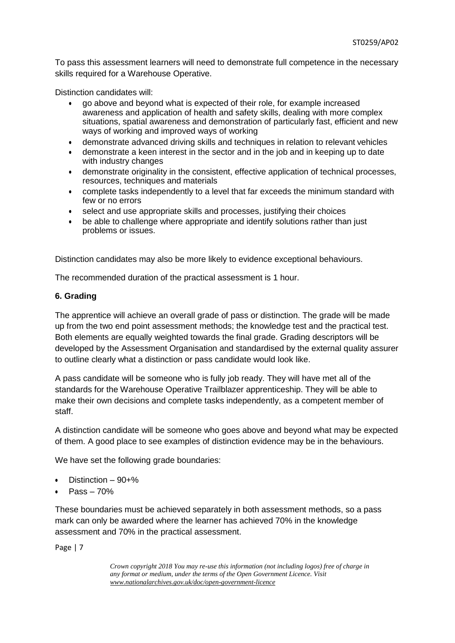To pass this assessment learners will need to demonstrate full competence in the necessary skills required for a Warehouse Operative.

Distinction candidates will:

- go above and beyond what is expected of their role, for example increased awareness and application of health and safety skills, dealing with more complex situations, spatial awareness and demonstration of particularly fast, efficient and new ways of working and improved ways of working
- demonstrate advanced driving skills and techniques in relation to relevant vehicles
- demonstrate a keen interest in the sector and in the job and in keeping up to date with industry changes
- demonstrate originality in the consistent, effective application of technical processes, resources, techniques and materials
- complete tasks independently to a level that far exceeds the minimum standard with few or no errors
- select and use appropriate skills and processes, justifying their choices
- be able to challenge where appropriate and identify solutions rather than just problems or issues.

Distinction candidates may also be more likely to evidence exceptional behaviours.

The recommended duration of the practical assessment is 1 hour.

#### **6. Grading**

The apprentice will achieve an overall grade of pass or distinction. The grade will be made up from the two end point assessment methods; the knowledge test and the practical test. Both elements are equally weighted towards the final grade. Grading descriptors will be developed by the Assessment Organisation and standardised by the external quality assurer to outline clearly what a distinction or pass candidate would look like.

A pass candidate will be someone who is fully job ready. They will have met all of the standards for the Warehouse Operative Trailblazer apprenticeship. They will be able to make their own decisions and complete tasks independently, as a competent member of staff.

A distinction candidate will be someone who goes above and beyond what may be expected of them. A good place to see examples of distinction evidence may be in the behaviours.

We have set the following grade boundaries:

- Distinction 90+%
- Pass 70%

These boundaries must be achieved separately in both assessment methods, so a pass mark can only be awarded where the learner has achieved 70% in the knowledge assessment and 70% in the practical assessment.

Page | 7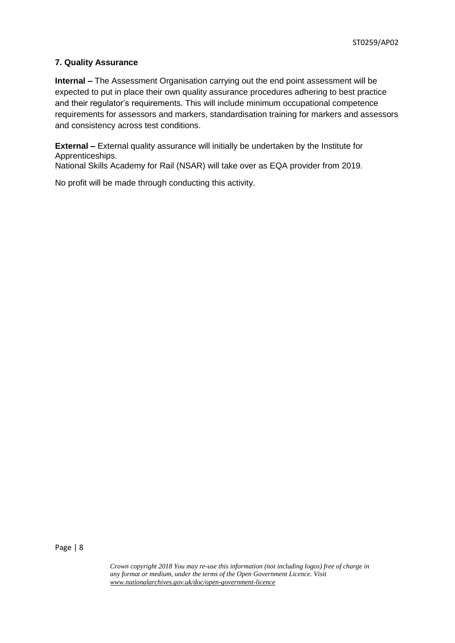# **7. Quality Assurance**

**Internal –** The Assessment Organisation carrying out the end point assessment will be expected to put in place their own quality assurance procedures adhering to best practice and their regulator's requirements. This will include minimum occupational competence requirements for assessors and markers, standardisation training for markers and assessors and consistency across test conditions.

**External –** External quality assurance will initially be undertaken by the Institute for Apprenticeships.

National Skills Academy for Rail (NSAR) will take over as EQA provider from 2019.

No profit will be made through conducting this activity.

Page | 8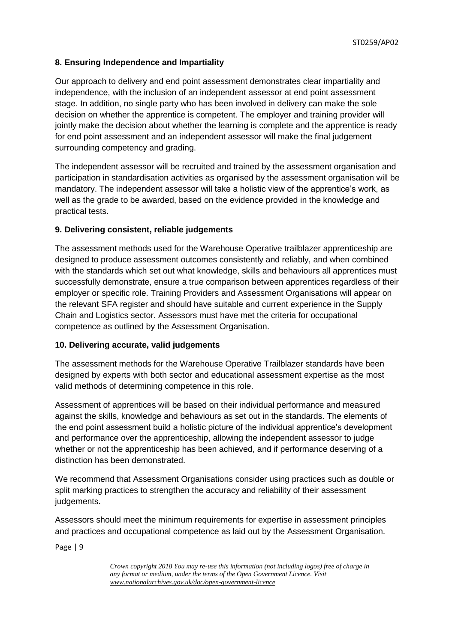# **8. Ensuring Independence and Impartiality**

Our approach to delivery and end point assessment demonstrates clear impartiality and independence, with the inclusion of an independent assessor at end point assessment stage. In addition, no single party who has been involved in delivery can make the sole decision on whether the apprentice is competent. The employer and training provider will jointly make the decision about whether the learning is complete and the apprentice is ready for end point assessment and an independent assessor will make the final judgement surrounding competency and grading.

The independent assessor will be recruited and trained by the assessment organisation and participation in standardisation activities as organised by the assessment organisation will be mandatory. The independent assessor will take a holistic view of the apprentice's work, as well as the grade to be awarded, based on the evidence provided in the knowledge and practical tests.

## **9. Delivering consistent, reliable judgements**

The assessment methods used for the Warehouse Operative trailblazer apprenticeship are designed to produce assessment outcomes consistently and reliably, and when combined with the standards which set out what knowledge, skills and behaviours all apprentices must successfully demonstrate, ensure a true comparison between apprentices regardless of their employer or specific role. Training Providers and Assessment Organisations will appear on the relevant SFA register and should have suitable and current experience in the Supply Chain and Logistics sector. Assessors must have met the criteria for occupational competence as outlined by the Assessment Organisation.

## **10. Delivering accurate, valid judgements**

The assessment methods for the Warehouse Operative Trailblazer standards have been designed by experts with both sector and educational assessment expertise as the most valid methods of determining competence in this role.

Assessment of apprentices will be based on their individual performance and measured against the skills, knowledge and behaviours as set out in the standards. The elements of the end point assessment build a holistic picture of the individual apprentice's development and performance over the apprenticeship, allowing the independent assessor to judge whether or not the apprenticeship has been achieved, and if performance deserving of a distinction has been demonstrated.

We recommend that Assessment Organisations consider using practices such as double or split marking practices to strengthen the accuracy and reliability of their assessment judgements.

Assessors should meet the minimum requirements for expertise in assessment principles and practices and occupational competence as laid out by the Assessment Organisation.

Page | 9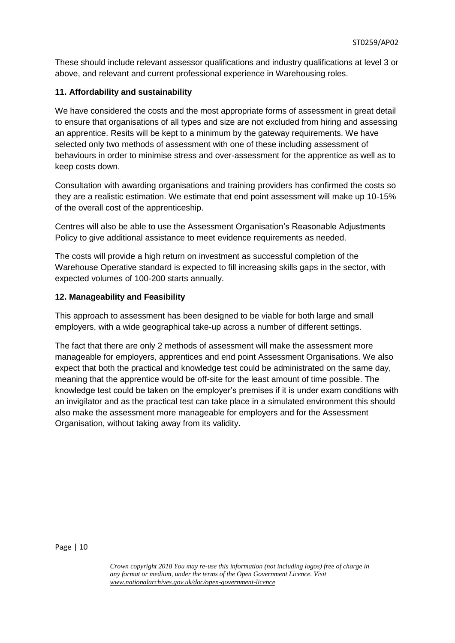These should include relevant assessor qualifications and industry qualifications at level 3 or above, and relevant and current professional experience in Warehousing roles.

# **11. Affordability and sustainability**

We have considered the costs and the most appropriate forms of assessment in great detail to ensure that organisations of all types and size are not excluded from hiring and assessing an apprentice. Resits will be kept to a minimum by the gateway requirements. We have selected only two methods of assessment with one of these including assessment of behaviours in order to minimise stress and over-assessment for the apprentice as well as to keep costs down.

Consultation with awarding organisations and training providers has confirmed the costs so they are a realistic estimation. We estimate that end point assessment will make up 10-15% of the overall cost of the apprenticeship.

Centres will also be able to use the Assessment Organisation's Reasonable Adjustments Policy to give additional assistance to meet evidence requirements as needed.

The costs will provide a high return on investment as successful completion of the Warehouse Operative standard is expected to fill increasing skills gaps in the sector, with expected volumes of 100-200 starts annually.

## **12. Manageability and Feasibility**

This approach to assessment has been designed to be viable for both large and small employers, with a wide geographical take-up across a number of different settings.

The fact that there are only 2 methods of assessment will make the assessment more manageable for employers, apprentices and end point Assessment Organisations. We also expect that both the practical and knowledge test could be administrated on the same day, meaning that the apprentice would be off-site for the least amount of time possible. The knowledge test could be taken on the employer's premises if it is under exam conditions with an invigilator and as the practical test can take place in a simulated environment this should also make the assessment more manageable for employers and for the Assessment Organisation, without taking away from its validity.

Page | 10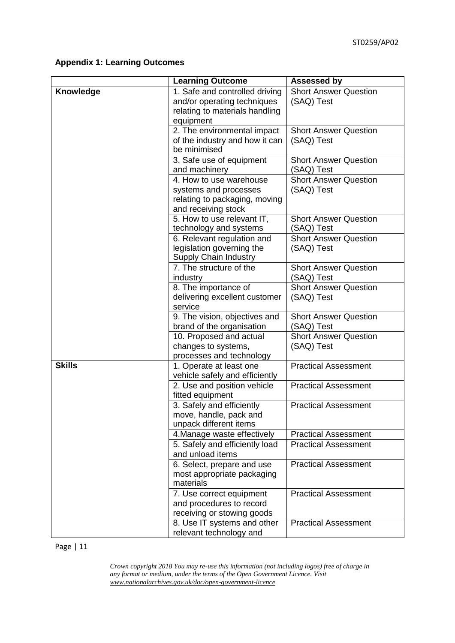# **Appendix 1: Learning Outcomes**

|                  | <b>Learning Outcome</b>                                                                                      | <b>Assessed by</b>                         |
|------------------|--------------------------------------------------------------------------------------------------------------|--------------------------------------------|
| <b>Knowledge</b> | 1. Safe and controlled driving<br>and/or operating techniques<br>relating to materials handling<br>equipment | <b>Short Answer Question</b><br>(SAQ) Test |
|                  | 2. The environmental impact<br>of the industry and how it can<br>be minimised                                | <b>Short Answer Question</b><br>(SAQ) Test |
|                  | 3. Safe use of equipment<br>and machinery                                                                    | <b>Short Answer Question</b><br>(SAQ) Test |
|                  | 4. How to use warehouse<br>systems and processes<br>relating to packaging, moving<br>and receiving stock     | <b>Short Answer Question</b><br>(SAQ) Test |
|                  | 5. How to use relevant IT,<br>technology and systems                                                         | <b>Short Answer Question</b><br>(SAQ) Test |
|                  | 6. Relevant regulation and<br>legislation governing the<br>Supply Chain Industry                             | <b>Short Answer Question</b><br>(SAQ) Test |
|                  | 7. The structure of the<br>industry                                                                          | <b>Short Answer Question</b><br>(SAQ) Test |
|                  | 8. The importance of<br>delivering excellent customer<br>service                                             | <b>Short Answer Question</b><br>(SAQ) Test |
|                  | 9. The vision, objectives and<br>brand of the organisation                                                   | <b>Short Answer Question</b><br>(SAQ) Test |
|                  | 10. Proposed and actual<br>changes to systems,<br>processes and technology                                   | <b>Short Answer Question</b><br>(SAQ) Test |
| <b>Skills</b>    | 1. Operate at least one<br>vehicle safely and efficiently                                                    | <b>Practical Assessment</b>                |
|                  | 2. Use and position vehicle<br>fitted equipment                                                              | <b>Practical Assessment</b>                |
|                  | 3. Safely and efficiently<br>move, handle, pack and<br>unpack different items                                | <b>Practical Assessment</b>                |
|                  | 4. Manage waste effectively                                                                                  | <b>Practical Assessment</b>                |
|                  | 5. Safely and efficiently load<br>and unload items                                                           | <b>Practical Assessment</b>                |
|                  | 6. Select, prepare and use<br>most appropriate packaging<br>materials                                        | <b>Practical Assessment</b>                |
|                  | 7. Use correct equipment<br>and procedures to record<br>receiving or stowing goods                           | <b>Practical Assessment</b>                |
|                  | 8. Use IT systems and other<br>relevant technology and                                                       | <b>Practical Assessment</b>                |

Page | 11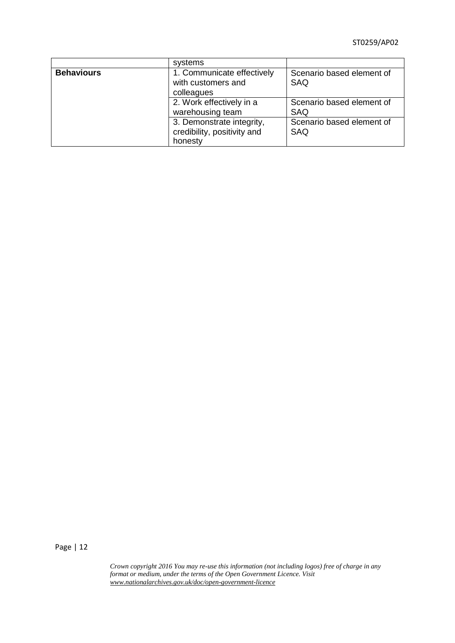ST0259/AP02

|                   | systems                                                             |                                         |
|-------------------|---------------------------------------------------------------------|-----------------------------------------|
| <b>Behaviours</b> | 1. Communicate effectively<br>with customers and<br>colleagues      | Scenario based element of<br><b>SAQ</b> |
|                   | 2. Work effectively in a<br>warehousing team                        | Scenario based element of<br>SAQ        |
|                   | 3. Demonstrate integrity,<br>credibility, positivity and<br>honesty | Scenario based element of<br><b>SAQ</b> |

Page | 12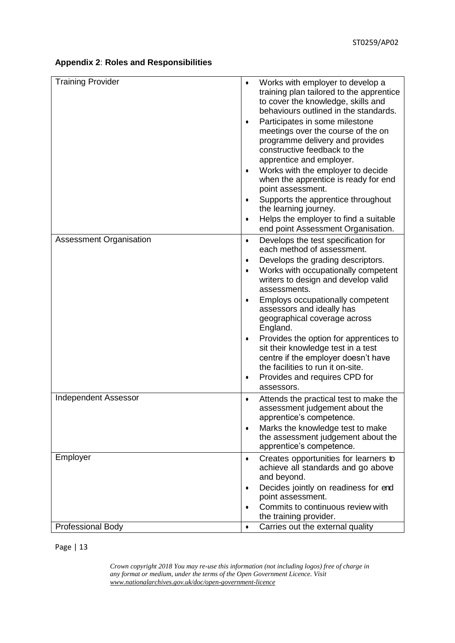# **Appendix 2**: **Roles and Responsibilities**

| <b>Training Provider</b>       | $\bullet$<br>$\bullet$<br>٠ | Works with employer to develop a<br>training plan tailored to the apprentice<br>to cover the knowledge, skills and<br>behaviours outlined in the standards.<br>Participates in some milestone<br>meetings over the course of the on<br>programme delivery and provides<br>constructive feedback to the<br>apprentice and employer.<br>Works with the employer to decide<br>when the apprentice is ready for end<br>point assessment. |
|--------------------------------|-----------------------------|--------------------------------------------------------------------------------------------------------------------------------------------------------------------------------------------------------------------------------------------------------------------------------------------------------------------------------------------------------------------------------------------------------------------------------------|
|                                | $\bullet$                   | Supports the apprentice throughout<br>the learning journey.                                                                                                                                                                                                                                                                                                                                                                          |
|                                | $\bullet$                   | Helps the employer to find a suitable<br>end point Assessment Organisation.                                                                                                                                                                                                                                                                                                                                                          |
| <b>Assessment Organisation</b> | $\bullet$                   | Develops the test specification for<br>each method of assessment.                                                                                                                                                                                                                                                                                                                                                                    |
|                                | ٠<br>$\bullet$              | Develops the grading descriptors.<br>Works with occupationally competent<br>writers to design and develop valid<br>assessments.                                                                                                                                                                                                                                                                                                      |
|                                | $\bullet$                   | Employs occupationally competent<br>assessors and ideally has<br>geographical coverage across<br>England.                                                                                                                                                                                                                                                                                                                            |
|                                | ٠                           | Provides the option for apprentices to<br>sit their knowledge test in a test<br>centre if the employer doesn't have<br>the facilities to run it on-site.                                                                                                                                                                                                                                                                             |
|                                | ٠                           | Provides and requires CPD for<br>assessors.                                                                                                                                                                                                                                                                                                                                                                                          |
| <b>Independent Assessor</b>    | $\bullet$                   | Attends the practical test to make the<br>assessment judgement about the<br>apprentice's competence.                                                                                                                                                                                                                                                                                                                                 |
|                                | $\bullet$                   | Marks the knowledge test to make<br>the assessment judgement about the<br>apprentice's competence.                                                                                                                                                                                                                                                                                                                                   |
| Employer                       | $\bullet$                   | Creates opportunities for learners to<br>achieve all standards and go above<br>and beyond.                                                                                                                                                                                                                                                                                                                                           |
|                                | ٠<br>$\bullet$              | Decides jointly on readiness for end<br>point assessment.<br>Commits to continuous review with                                                                                                                                                                                                                                                                                                                                       |
|                                |                             | the training provider.                                                                                                                                                                                                                                                                                                                                                                                                               |
| <b>Professional Body</b>       | $\bullet$                   | Carries out the external quality                                                                                                                                                                                                                                                                                                                                                                                                     |

Page | 13